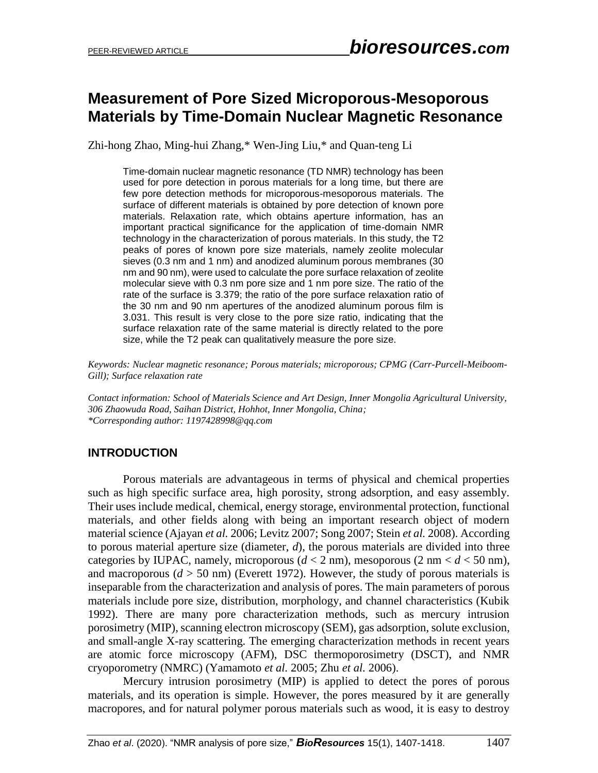# **Measurement of Pore Sized Microporous-Mesoporous Materials by Time-Domain Nuclear Magnetic Resonance**

Zhi-hong Zhao, Ming-hui Zhang,\* Wen-Jing Liu,\* and Quan-teng Li

Time-domain nuclear magnetic resonance (TD NMR) technology has been used for pore detection in porous materials for a long time, but there are few pore detection methods for microporous-mesoporous materials. The surface of different materials is obtained by pore detection of known pore materials. Relaxation rate, which obtains aperture information, has an important practical significance for the application of time-domain NMR technology in the characterization of porous materials. In this study, the T2 peaks of pores of known pore size materials, namely zeolite molecular sieves (0.3 nm and 1 nm) and anodized aluminum porous membranes (30 nm and 90 nm), were used to calculate the pore surface relaxation of zeolite molecular sieve with 0.3 nm pore size and 1 nm pore size. The ratio of the rate of the surface is 3.379; the ratio of the pore surface relaxation ratio of the 30 nm and 90 nm apertures of the anodized aluminum porous film is 3.031. This result is very close to the pore size ratio, indicating that the surface relaxation rate of the same material is directly related to the pore size, while the T2 peak can qualitatively measure the pore size.

*Keywords: Nuclear magnetic resonance; Porous materials; microporous; CPMG (Carr-Purcell-Meiboom-Gill); Surface relaxation rate*

*Contact information: School of Materials Science and Art Design, Inner Mongolia Agricultural University, 306 Zhaowuda Road, Saihan District, Hohhot, Inner Mongolia, China; \*Corresponding author: 1197428998@qq.com*

## **INTRODUCTION**

Porous materials are advantageous in terms of physical and chemical properties such as high specific surface area, high porosity, strong adsorption, and easy assembly. Their uses include medical, chemical, energy storage, environmental protection, functional materials, and other fields along with being an important research object of modern material science (Ajayan *et al.* 2006; Levitz 2007; Song 2007; Stein *et al.* 2008). According to porous material aperture size (diameter, *d*), the porous materials are divided into three categories by IUPAC, namely, microporous  $(d < 2 \text{ nm})$ , mesoporous  $(2 \text{ nm} < d < 50 \text{ nm})$ , and macroporous  $(d > 50 \text{ nm})$  (Everett 1972). However, the study of porous materials is inseparable from the characterization and analysis of pores. The main parameters of porous materials include pore size, distribution, morphology, and channel characteristics (Kubik 1992). There are many pore characterization methods, such as mercury intrusion porosimetry (MIP), scanning electron microscopy (SEM), gas adsorption, solute exclusion, and small-angle X-ray scattering. The emerging characterization methods in recent years are atomic force microscopy (AFM), DSC thermoporosimetry (DSCT), and NMR cryoporometry (NMRC) (Yamamoto *et al.* 2005; Zhu *et al.* 2006).

Mercury intrusion porosimetry (MIP) is applied to detect the pores of porous materials, and its operation is simple. However, the pores measured by it are generally macropores, and for natural polymer porous materials such as wood, it is easy to destroy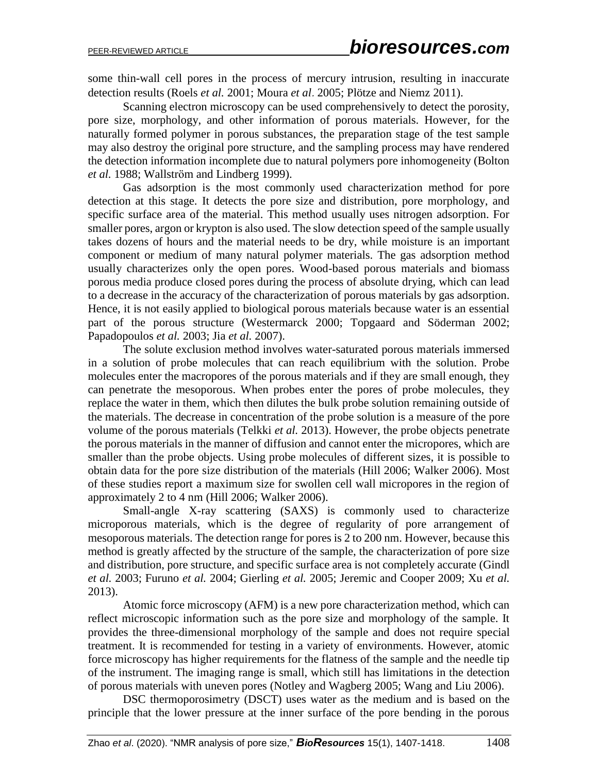some thin-wall cell pores in the process of mercury intrusion, resulting in inaccurate detection results (Roels *et al.* 2001; Moura *et al*.2005; Plötze and Niemz 2011).

Scanning electron microscopy can be used comprehensively to detect the porosity, pore size, morphology, and other information of porous materials. However, for the naturally formed polymer in porous substances, the preparation stage of the test sample may also destroy the original pore structure, and the sampling process may have rendered the detection information incomplete due to natural polymers pore inhomogeneity (Bolton *et al.* 1988; Wallström and Lindberg 1999).

Gas adsorption is the most commonly used characterization method for pore detection at this stage. It detects the pore size and distribution, pore morphology, and specific surface area of the material. This method usually uses nitrogen adsorption. For smaller pores, argon or krypton is also used. The slow detection speed of the sample usually takes dozens of hours and the material needs to be dry, while moisture is an important component or medium of many natural polymer materials. The gas adsorption method usually characterizes only the open pores. Wood-based porous materials and biomass porous media produce closed pores during the process of absolute drying, which can lead to a decrease in the accuracy of the characterization of porous materials by gas adsorption. Hence, it is not easily applied to biological porous materials because water is an essential part of the porous structure (Westermarck 2000; Topgaard and Söderman 2002; Papadopoulos *et al.* 2003; Jia *et al.* 2007).

The solute exclusion method involves water-saturated porous materials immersed in a solution of probe molecules that can reach equilibrium with the solution. Probe molecules enter the macropores of the porous materials and if they are small enough, they can penetrate the mesoporous. When probes enter the pores of probe molecules, they replace the water in them, which then dilutes the bulk probe solution remaining outside of the materials. The decrease in concentration of the probe solution is a measure of the pore volume of the porous materials (Telkki *et al.* 2013). However, the probe objects penetrate the porous materials in the manner of diffusion and cannot enter the micropores, which are smaller than the probe objects. Using probe molecules of different sizes, it is possible to obtain data for the pore size distribution of the materials (Hill 2006; Walker 2006). Most of these studies report a maximum size for swollen cell wall micropores in the region of approximately 2 to 4 nm (Hill 2006; Walker 2006).

Small-angle X-ray scattering (SAXS) is commonly used to characterize microporous materials, which is the degree of regularity of pore arrangement of mesoporous materials. The detection range for pores is 2 to 200 nm. However, because this method is greatly affected by the structure of the sample, the characterization of pore size and distribution, pore structure, and specific surface area is not completely accurate (Gindl *et al.* 2003; Furuno *et al.* 2004; Gierling *et al.* 2005; Jeremic and Cooper 2009; Xu *et al.* 2013).

Atomic force microscopy (AFM) is a new pore characterization method, which can reflect microscopic information such as the pore size and morphology of the sample. It provides the three-dimensional morphology of the sample and does not require special treatment. It is recommended for testing in a variety of environments. However, atomic force microscopy has higher requirements for the flatness of the sample and the needle tip of the instrument. The imaging range is small, which still has limitations in the detection of porous materials with uneven pores (Notley and Wagberg 2005; Wang and Liu 2006).

DSC thermoporosimetry (DSCT) uses water as the medium and is based on the principle that the lower pressure at the inner surface of the pore bending in the porous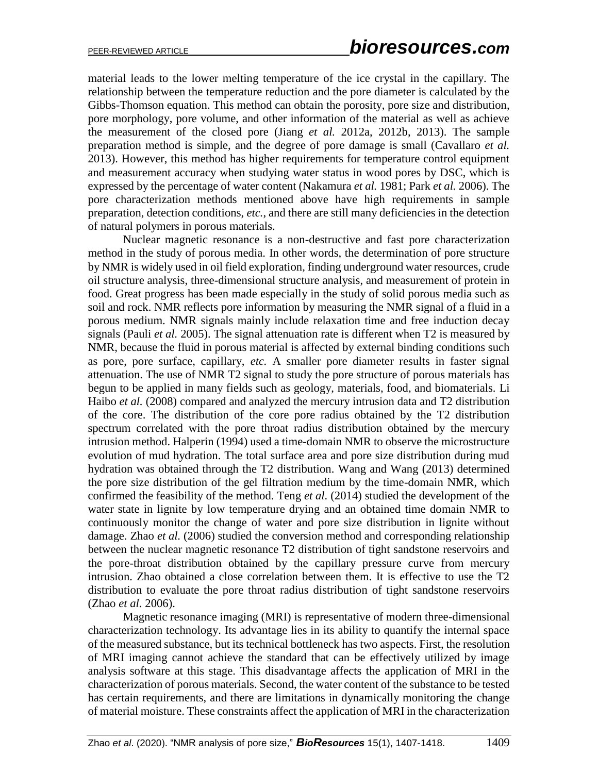material leads to the lower melting temperature of the ice crystal in the capillary. The relationship between the temperature reduction and the pore diameter is calculated by the Gibbs-Thomson equation. This method can obtain the porosity, pore size and distribution, pore morphology, pore volume, and other information of the material as well as achieve the measurement of the closed pore (Jiang *et al.* 2012a, 2012b, 2013). The sample preparation method is simple, and the degree of pore damage is small (Cavallaro *et al.* 2013). However, this method has higher requirements for temperature control equipment and measurement accuracy when studying water status in wood pores by DSC, which is expressed by the percentage of water content (Nakamura *et al.* 1981; Park *et al.* 2006). The pore characterization methods mentioned above have high requirements in sample preparation, detection conditions, *etc.*, and there are still many deficiencies in the detection of natural polymers in porous materials.

Nuclear magnetic resonance is a non-destructive and fast pore characterization method in the study of porous media. In other words, the determination of pore structure by NMR is widely used in oil field exploration, finding underground water resources, crude oil structure analysis, three-dimensional structure analysis, and measurement of protein in food. Great progress has been made especially in the study of solid porous media such as soil and rock. NMR reflects pore information by measuring the NMR signal of a fluid in a porous medium. NMR signals mainly include relaxation time and free induction decay signals (Pauli *et al.* 2005). The signal attenuation rate is different when T2 is measured by NMR, because the fluid in porous material is affected by external binding conditions such as pore, pore surface, capillary, *etc.* A smaller pore diameter results in faster signal attenuation. The use of NMR T2 signal to study the pore structure of porous materials has begun to be applied in many fields such as geology, materials, food, and biomaterials. Li Haibo *et al.* (2008) compared and analyzed the mercury intrusion data and T2 distribution of the core. The distribution of the core pore radius obtained by the T2 distribution spectrum correlated with the pore throat radius distribution obtained by the mercury intrusion method. Halperin (1994) used a time-domain NMR to observe the microstructure evolution of mud hydration. The total surface area and pore size distribution during mud hydration was obtained through the T2 distribution. Wang and Wang (2013) determined the pore size distribution of the gel filtration medium by the time-domain NMR, which confirmed the feasibility of the method. Teng *et al.* (2014) studied the development of the water state in lignite by low temperature drying and an obtained time domain NMR to continuously monitor the change of water and pore size distribution in lignite without damage. Zhao *et al.* (2006) studied the conversion method and corresponding relationship between the nuclear magnetic resonance T2 distribution of tight sandstone reservoirs and the pore-throat distribution obtained by the capillary pressure curve from mercury intrusion. Zhao obtained a close correlation between them. It is effective to use the T2 distribution to evaluate the pore throat radius distribution of tight sandstone reservoirs (Zhao *et al.* 2006).

Magnetic resonance imaging (MRI) is representative of modern three-dimensional characterization technology. Its advantage lies in its ability to quantify the internal space of the measured substance, but its technical bottleneck has two aspects. First, the resolution of MRI imaging cannot achieve the standard that can be effectively utilized by image analysis software at this stage. This disadvantage affects the application of MRI in the characterization of porous materials. Second, the water content of the substance to be tested has certain requirements, and there are limitations in dynamically monitoring the change of material moisture. These constraints affect the application of MRI in the characterization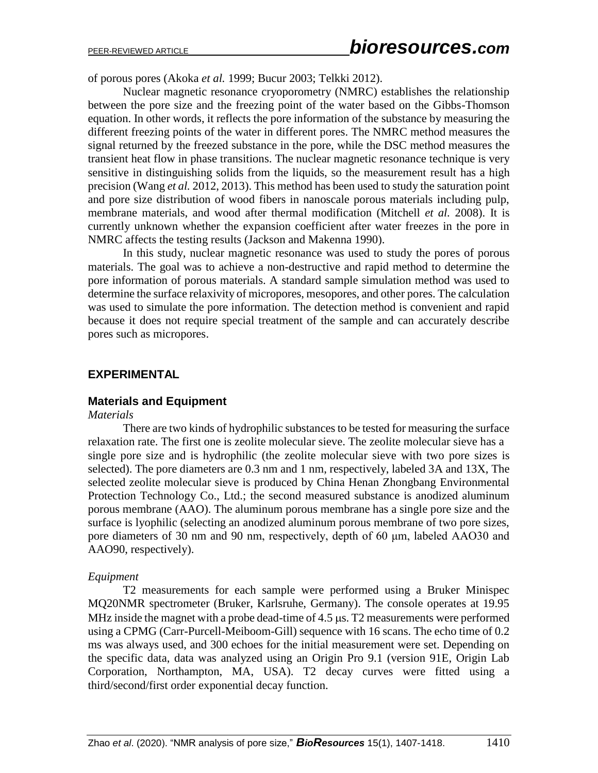of porous pores (Akoka *et al.* 1999; Bucur 2003; Telkki 2012).

Nuclear magnetic resonance cryoporometry (NMRC) establishes the relationship between the pore size and the freezing point of the water based on the Gibbs-Thomson equation. In other words, it reflects the pore information of the substance by measuring the different freezing points of the water in different pores. The NMRC method measures the signal returned by the freezed substance in the pore, while the DSC method measures the transient heat flow in phase transitions. The nuclear magnetic resonance technique is very sensitive in distinguishing solids from the liquids, so the measurement result has a high precision (Wang *et al.* 2012, 2013). This method has been used to study the saturation point and pore size distribution of wood fibers in nanoscale porous materials including pulp, membrane materials, and wood after thermal modification (Mitchell *et al.* 2008). It is currently unknown whether the expansion coefficient after water freezes in the pore in NMRC affects the testing results (Jackson and Makenna 1990).

In this study, nuclear magnetic resonance was used to study the pores of porous materials. The goal was to achieve a non-destructive and rapid method to determine the pore information of porous materials. A standard sample simulation method was used to determine the surface relaxivity of micropores, mesopores, and other pores. The calculation was used to simulate the pore information. The detection method is convenient and rapid because it does not require special treatment of the sample and can accurately describe pores such as micropores.

## **EXPERIMENTAL**

## **Materials and Equipment**

#### *Materials*

There are two kinds of hydrophilic substances to be tested for measuring the surface relaxation rate. The first one is zeolite molecular sieve. The zeolite molecular sieve has a single pore size and is hydrophilic (the zeolite molecular sieve with two pore sizes is selected). The pore diameters are 0.3 nm and 1 nm, respectively, labeled 3A and 13X, The selected zeolite molecular sieve is produced by China Henan Zhongbang Environmental Protection Technology Co., Ltd.; the second measured substance is anodized aluminum porous membrane (AAO). The aluminum porous membrane has a single pore size and the surface is lyophilic (selecting an anodized aluminum porous membrane of two pore sizes, pore diameters of 30 nm and 90 nm, respectively, depth of 60 μm, labeled AAO30 and AAO90, respectively).

#### *Equipment*

T2 measurements for each sample were performed using a Bruker Minispec MQ20NMR spectrometer (Bruker, Karlsruhe, Germany). The console operates at 19.95 MHz inside the magnet with a probe dead-time of  $4.5 \mu s$ . T2 measurements were performed using a CPMG (Carr-Purcell-Meiboom-Gill) sequence with 16 scans. The echo time of 0.2 ms was always used, and 300 echoes for the initial measurement were set. Depending on the specific data, data was analyzed using an Origin Pro 9.1 (version 91E, Origin Lab Corporation, Northampton, MA, USA). T2 decay curves were fitted using a third/second/first order exponential decay function.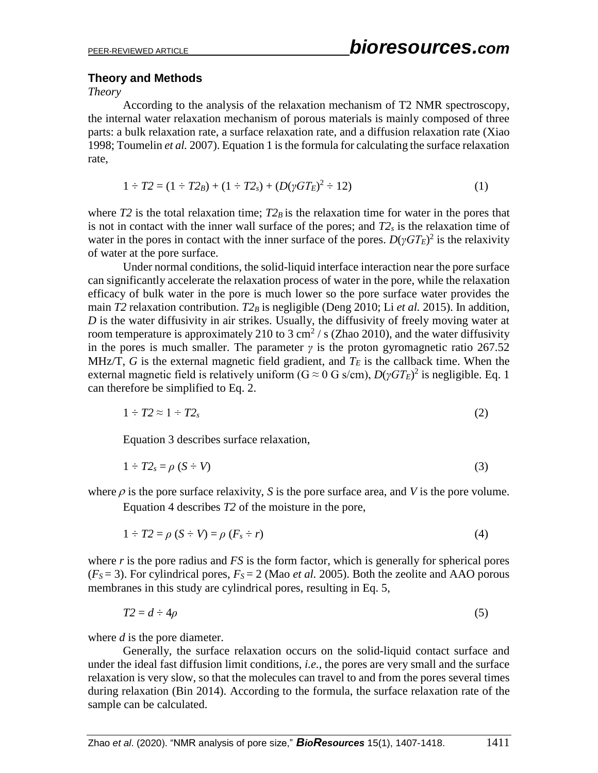#### **Theory and Methods**

*Theory*

According to the analysis of the relaxation mechanism of T2 NMR spectroscopy, the internal water relaxation mechanism of porous materials is mainly composed of three parts: a bulk relaxation rate, a surface relaxation rate, and a diffusion relaxation rate (Xiao 1998; Toumelin *et al.* 2007). Equation 1 is the formula for calculating the surface relaxation rate,

$$
1 \div T2 = (1 \div T2_B) + (1 \div T2_s) + (D(\gamma GT_E)^2 \div 12)
$$
 (1)

where *T2* is the total relaxation time;  $T2_B$  is the relaxation time for water in the pores that is not in contact with the inner wall surface of the pores; and *T2<sup>s</sup>* is the relaxation time of water in the pores in contact with the inner surface of the pores.  $D(\gamma GT_E)^2$  is the relaxivity of water at the pore surface.

Under normal conditions, the solid-liquid interface interaction near the pore surface can significantly accelerate the relaxation process of water in the pore, while the relaxation efficacy of bulk water in the pore is much lower so the pore surface water provides the main *T2* relaxation contribution. *T2B* is negligible (Deng 2010; Li *et al.* 2015). In addition, *D* is the water diffusivity in air strikes. Usually, the diffusivity of freely moving water at room temperature is approximately 210 to 3 cm<sup>2</sup> / s (Zhao 2010), and the water diffusivity in the pores is much smaller. The parameter  $\gamma$  is the proton gyromagnetic ratio 267.52 MHz/T, G is the external magnetic field gradient, and  $T_E$  is the callback time. When the external magnetic field is relatively uniform ( $G \approx 0$  G s/cm),  $D(\gamma GT_E)^2$  is negligible. Eq. 1 can therefore be simplified to Eq. 2.

$$
1 \div T2 \approx 1 \div T2_s \tag{2}
$$

Equation 3 describes surface relaxation,

$$
1 \div T2_s = \rho (S - V) \tag{3}
$$

where  $\rho$  is the pore surface relaxivity, *S* is the pore surface area, and *V* is the pore volume.

Equation 4 describes *T2* of the moisture in the pore,

$$
1 \div T2 = \rho \left( S \div V \right) = \rho \left( F_s \div r \right) \tag{4}
$$

where *r* is the pore radius and *FS* is the form factor, which is generally for spherical pores  $(F<sub>S</sub> = 3)$ . For cylindrical pores,  $F<sub>S</sub> = 2$  (Mao *et al.* 2005). Both the zeolite and AAO porous membranes in this study are cylindrical pores, resulting in Eq. 5,

$$
T2 = d \div 4\rho \tag{5}
$$

where *d* is the pore diameter.

Generally, the surface relaxation occurs on the solid-liquid contact surface and under the ideal fast diffusion limit conditions, *i.e.*, the pores are very small and the surface relaxation is very slow, so that the molecules can travel to and from the pores several times during relaxation (Bin 2014). According to the formula, the surface relaxation rate of the sample can be calculated.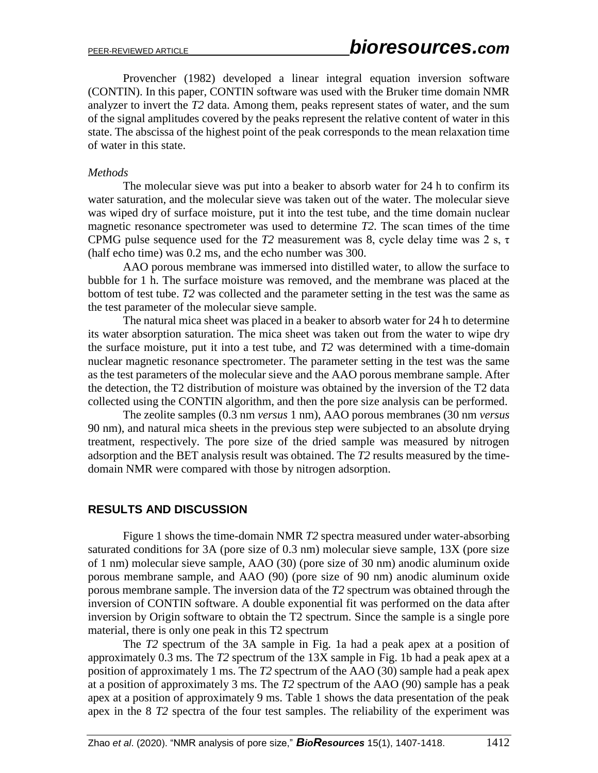Provencher (1982) developed a linear integral equation inversion software (CONTIN). In this paper, CONTIN software was used with the Bruker time domain NMR analyzer to invert the *T2* data. Among them, peaks represent states of water, and the sum of the signal amplitudes covered by the peaks represent the relative content of water in this state. The abscissa of the highest point of the peak corresponds to the mean relaxation time of water in this state.

#### *Methods*

The molecular sieve was put into a beaker to absorb water for 24 h to confirm its water saturation, and the molecular sieve was taken out of the water. The molecular sieve was wiped dry of surface moisture, put it into the test tube, and the time domain nuclear magnetic resonance spectrometer was used to determine *T2*. The scan times of the time CPMG pulse sequence used for the  $T2$  measurement was 8, cycle delay time was 2 s,  $\tau$ (half echo time) was 0.2 ms, and the echo number was 300.

AAO porous membrane was immersed into distilled water, to allow the surface to bubble for 1 h. The surface moisture was removed, and the membrane was placed at the bottom of test tube. *T2* was collected and the parameter setting in the test was the same as the test parameter of the molecular sieve sample.

The natural mica sheet was placed in a beaker to absorb water for 24 h to determine its water absorption saturation. The mica sheet was taken out from the water to wipe dry the surface moisture, put it into a test tube, and *T2* was determined with a time-domain nuclear magnetic resonance spectrometer. The parameter setting in the test was the same as the test parameters of the molecular sieve and the AAO porous membrane sample. After the detection, the T2 distribution of moisture was obtained by the inversion of the T2 data collected using the CONTIN algorithm, and then the pore size analysis can be performed.

The zeolite samples (0.3 nm *versus* 1 nm), AAO porous membranes (30 nm *versus* 90 nm), and natural mica sheets in the previous step were subjected to an absolute drying treatment, respectively. The pore size of the dried sample was measured by nitrogen adsorption and the BET analysis result was obtained. The *T2* results measured by the timedomain NMR were compared with those by nitrogen adsorption.

## **RESULTS AND DISCUSSION**

Figure 1 shows the time-domain NMR *T2* spectra measured under water-absorbing saturated conditions for 3A (pore size of 0.3 nm) molecular sieve sample, 13X (pore size of 1 nm) molecular sieve sample, AAO (30) (pore size of 30 nm) anodic aluminum oxide porous membrane sample, and AAO (90) (pore size of 90 nm) anodic aluminum oxide porous membrane sample. The inversion data of the *T2* spectrum was obtained through the inversion of CONTIN software. A double exponential fit was performed on the data after inversion by Origin software to obtain the T2 spectrum. Since the sample is a single pore material, there is only one peak in this T2 spectrum

The *T2* spectrum of the 3A sample in Fig. 1a had a peak apex at a position of approximately 0.3 ms. The *T2* spectrum of the 13X sample in Fig. 1b had a peak apex at a position of approximately 1 ms. The *T2* spectrum of the AAO (30) sample had a peak apex at a position of approximately 3 ms. The *T2* spectrum of the AAO (90) sample has a peak apex at a position of approximately 9 ms. Table 1 shows the data presentation of the peak apex in the 8 *T2* spectra of the four test samples. The reliability of the experiment was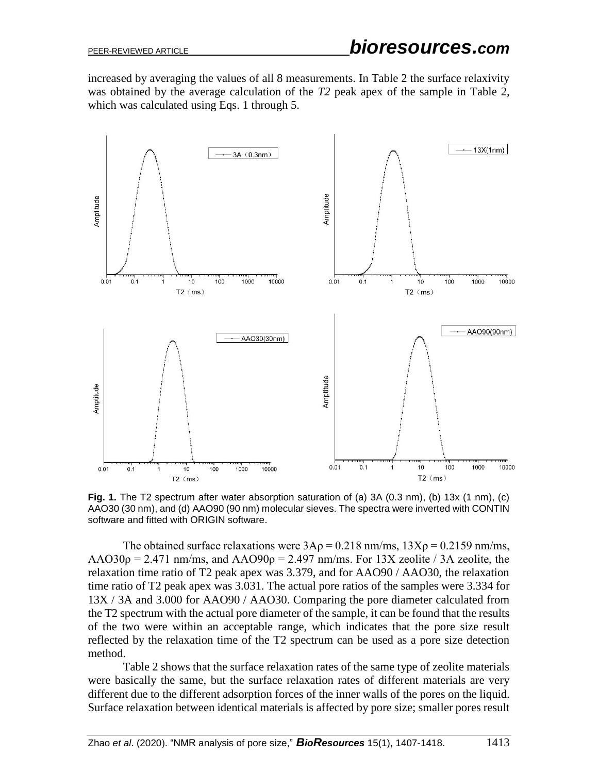increased by averaging the values of all 8 measurements. In Table 2 the surface relaxivity was obtained by the average calculation of the *T2* peak apex of the sample in Table 2, which was calculated using Eqs. 1 through 5.



**Fig. 1.** The T2 spectrum after water absorption saturation of (a) 3A (0.3 nm), (b) 13x (1 nm), (c) AAO30 (30 nm), and (d) AAO90 (90 nm) molecular sieves. The spectra were inverted with CONTIN software and fitted with ORIGIN software.

The obtained surface relaxations were  $3Ap = 0.218$  nm/ms,  $13Xp = 0.2159$  nm/ms,  $AAO30\rho = 2.471$  nm/ms, and  $AAO90\rho = 2.497$  nm/ms. For 13X zeolite / 3A zeolite, the relaxation time ratio of T2 peak apex was 3.379, and for AAO90 / AAO30, the relaxation time ratio of T2 peak apex was 3.031. The actual pore ratios of the samples were 3.334 for 13X / 3A and 3.000 for AAO90 / AAO30. Comparing the pore diameter calculated from the T2 spectrum with the actual pore diameter of the sample, it can be found that the results of the two were within an acceptable range, which indicates that the pore size result reflected by the relaxation time of the T2 spectrum can be used as a pore size detection method.

Table 2 shows that the surface relaxation rates of the same type of zeolite materials were basically the same, but the surface relaxation rates of different materials are very different due to the different adsorption forces of the inner walls of the pores on the liquid. Surface relaxation between identical materials is affected by pore size; smaller pores result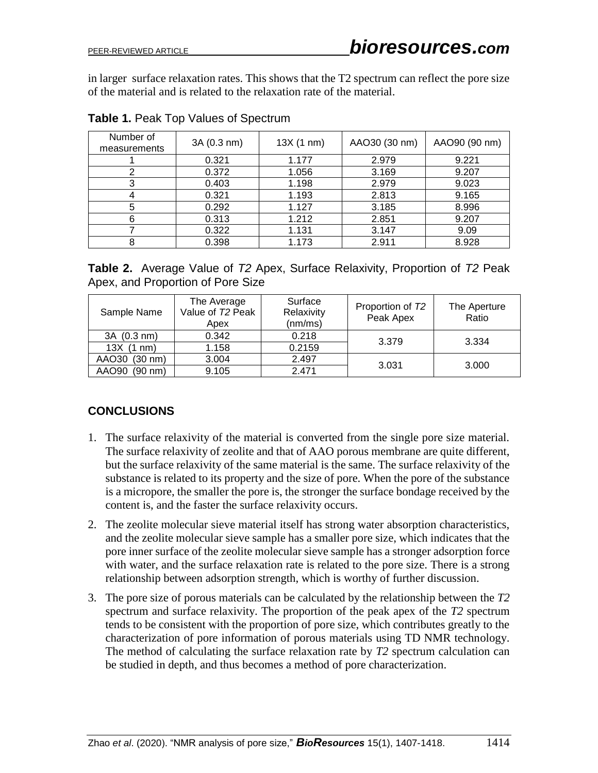in larger surface relaxation rates. This shows that the T2 spectrum can reflect the pore size of the material and is related to the relaxation rate of the material.

| Number of<br>measurements | 3A (0.3 nm) | 13X(1 nm) | AAO30 (30 nm) | AAO90 (90 nm) |
|---------------------------|-------------|-----------|---------------|---------------|
|                           | 0.321       | 1.177     | 2.979         | 9.221         |
| 2                         | 0.372       | 1.056     | 3.169         | 9.207         |
| 3                         | 0.403       | 1.198     | 2.979         | 9.023         |
|                           | 0.321       | 1.193     | 2.813         | 9.165         |
| 5                         | 0.292       | 1.127     | 3.185         | 8.996         |
| 6                         | 0.313       | 1.212     | 2.851         | 9.207         |
|                           | 0.322       | 1.131     | 3.147         | 9.09          |
| 8                         | 0.398       | 1.173     | 2.911         | 8.928         |

**Table 1.** Peak Top Values of Spectrum

| <b>Table 2.</b> Average Value of T2 Apex, Surface Relaxivity, Proportion of T2 Peak |  |  |  |
|-------------------------------------------------------------------------------------|--|--|--|
| Apex, and Proportion of Pore Size                                                   |  |  |  |

| Sample Name                | The Average<br>Value of T2 Peak<br>Apex | Surface<br>Relaxivity<br>(nm/ms) | Proportion of T2<br>Peak Apex | The Aperture<br>Ratio |  |
|----------------------------|-----------------------------------------|----------------------------------|-------------------------------|-----------------------|--|
| 3A (0.3 nm)                | 0.342                                   | 0.218                            | 3.379                         | 3.334                 |  |
| 13X(1 nm)                  | 1.158                                   | 0.2159                           |                               |                       |  |
| AAO30<br>$(30 \text{ nm})$ | 3.004                                   | 2.497                            | 3.031                         | 3.000                 |  |
| AAO90<br>$(90 \text{ nm})$ | 9.105                                   | 2.471                            |                               |                       |  |

## **CONCLUSIONS**

- 1. The surface relaxivity of the material is converted from the single pore size material. The surface relaxivity of zeolite and that of AAO porous membrane are quite different, but the surface relaxivity of the same material is the same. The surface relaxivity of the substance is related to its property and the size of pore. When the pore of the substance is a micropore, the smaller the pore is, the stronger the surface bondage received by the content is, and the faster the surface relaxivity occurs.
- 2. The zeolite molecular sieve material itself has strong water absorption characteristics, and the zeolite molecular sieve sample has a smaller pore size, which indicates that the pore inner surface of the zeolite molecular sieve sample has a stronger adsorption force with water, and the surface relaxation rate is related to the pore size. There is a strong relationship between adsorption strength, which is worthy of further discussion.
- 3. The pore size of porous materials can be calculated by the relationship between the *T2* spectrum and surface relaxivity. The proportion of the peak apex of the *T2* spectrum tends to be consistent with the proportion of pore size, which contributes greatly to the characterization of pore information of porous materials using TD NMR technology. The method of calculating the surface relaxation rate by *T2* spectrum calculation can be studied in depth, and thus becomes a method of pore characterization.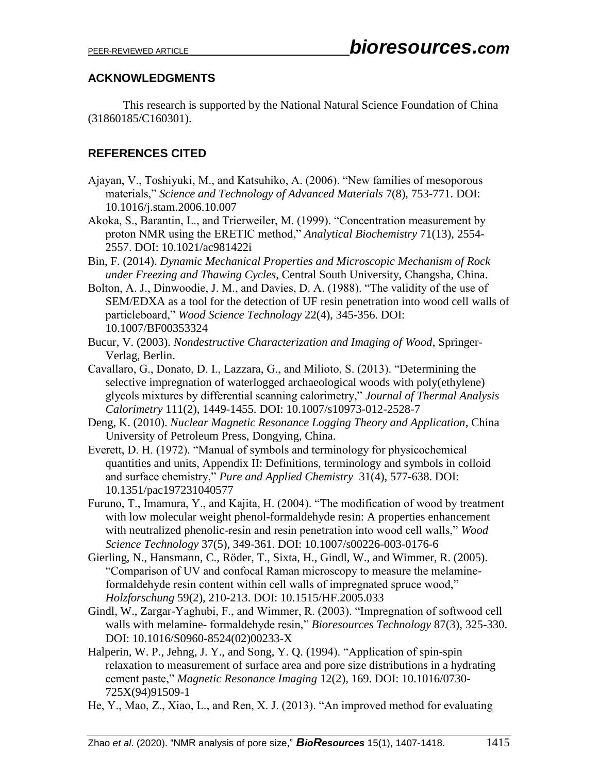## **ACKNOWLEDGMENTS**

This research is supported by the National Natural Science Foundation of China (31860185/C160301).

## **REFERENCES CITED**

- Ajayan, V., Toshiyuki, M., and Katsuhiko, A. (2006). "New families of mesoporous materials," *Science and Technology of Advanced Materials* 7(8), 753-771. DOI: 10.1016/j.stam.2006.10.007
- Akoka, S., Barantin, L., and Trierweiler, M. (1999). "Concentration measurement by proton NMR using the ERETIC method," *Analytical Biochemistry* 71(13), 2554- 2557. DOI: 10.1021/ac981422i
- Bin, F. (2014). *Dynamic Mechanical Properties and Microscopic Mechanism of Rock under Freezing and Thawing Cycles*, Central South University, Changsha, China.
- Bolton, A. J., Dinwoodie, J. M., and Davies, D. A. (1988). "The validity of the use of SEM/EDXA as a tool for the detection of UF resin penetration into wood cell walls of particleboard," *Wood Science Technology* 22(4), 345-356. DOI: 10.1007/BF00353324
- Bucur, V. (2003). *Nondestructive Characterization and Imaging of Wood*, Springer-Verlag, Berlin.
- Cavallaro, G., Donato, D. I., Lazzara, G., and Milioto, S. (2013). "Determining the selective impregnation of waterlogged archaeological woods with poly(ethylene) glycols mixtures by differential scanning calorimetry," *Journal of Thermal Analysis Calorimetry* 111(2), 1449-1455. DOI: 10.1007/s10973-012-2528-7
- Deng, K. (2010). *Nuclear Magnetic Resonance Logging Theory and Application*, China University of Petroleum Press, Dongying, China.
- Everett, D. H. (1972). "Manual of symbols and terminology for physicochemical quantities and units, Appendix II: Definitions, terminology and symbols in colloid and surface chemistry," *Pure and Applied Chemistry* 31(4), 577-638. DOI: [10.1351/pac197231040577](https://doi.org/10.1351/pac197231040577)
- Furuno, T., Imamura, Y., and Kajita, H. (2004). "The modification of wood by treatment with low molecular weight phenol-formaldehyde resin: A properties enhancement with neutralized phenolic-resin and resin penetration into wood cell walls," *Wood Science Technology* 37(5), 349-361. DOI: 10.1007/s00226-003-0176-6
- Gierling, N., Hansmann, C., Röder, T., Sixta, H., Gindl, W., and Wimmer, R. (2005). "Comparison of UV and confocal Raman microscopy to measure the melamineformaldehyde resin content within cell walls of impregnated spruce wood," *Holzforschung* 59(2), 210-213. DOI: 10.1515/HF.2005.033
- Gindl, W., Zargar-Yaghubi, F., and Wimmer, R. (2003). "Impregnation of softwood cell walls with melamine- formaldehyde resin," *Bioresources Technology* 87(3), 325-330. DOI: 10.1016/S0960-8524(02)00233-X
- Halperin, W. P., Jehng, J. Y., and Song, Y. Q. (1994). "Application of spin-spin relaxation to measurement of surface area and pore size distributions in a hydrating cement paste," *Magnetic Resonance Imaging* 12(2), 169. DOI: [10.1016/0730-](https://doi.org/10.1016/0730-725X(94)91509-1) [725X\(94\)91509-1](https://doi.org/10.1016/0730-725X(94)91509-1)
- He, Y., Mao, Z., Xiao, L., and Ren, X. J. (2013). "An improved method for evaluating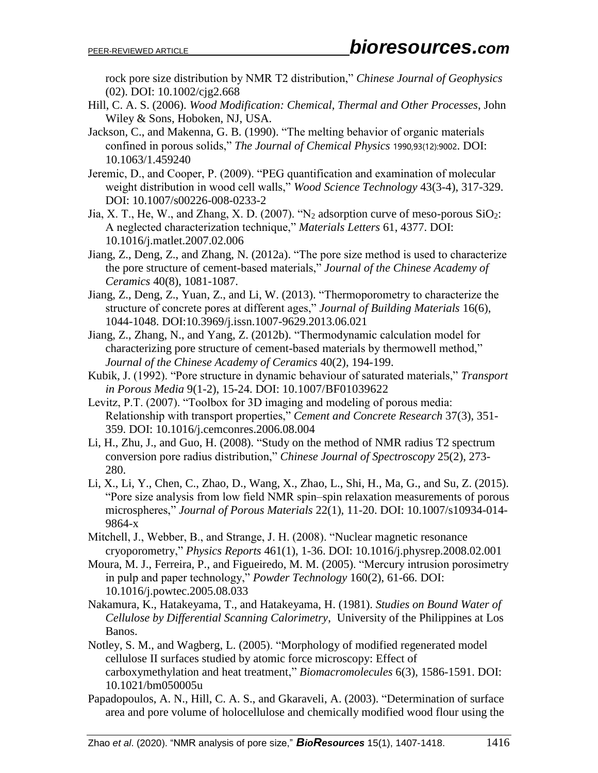rock pore size distribution by NMR T2 distribution," *Chinese Journal of Geophysics* (02). DOI: [10.1002/cjg2.668](https://doi.org/10.1002/cjg2.668)

- Hill, C. A. S. (2006). *Wood Modification: Chemical, Thermal and Other Processes*, John Wiley & Sons, Hoboken, NJ, USA.
- Jackson, C., and Makenna, G. B. (1990). "The melting behavior of organic materials confined in porous solids," *The Journal of Chemical Physics* 1990,93(12):9002. DOI: 10.1063/1.459240
- Jeremic, D., and Cooper, P. (2009). "PEG quantification and examination of molecular weight distribution in wood cell walls," *Wood Science Technology* 43(3-4), 317-329. DOI: 10.1007/s00226-008-0233-2
- Jia, X. T., He, W., and Zhang, X. D. (2007). "N<sub>2</sub> adsorption curve of meso-porous SiO<sub>2</sub>: A neglected characterization technique," *Materials Letters* 61, 4377. DOI: [10.1016/j.matlet.2007.02.006](https://doi.org/10.1016/j.matlet.2007.02.006)
- Jiang, Z., Deng, Z., and Zhang, N. (2012a). "The pore size method is used to characterize the pore structure of cement-based materials," *Journal of the Chinese Academy of Ceramics* 40(8), 1081-1087.
- Jiang, Z., Deng, Z., Yuan, Z., and Li, W. (2013). "Thermoporometry to characterize the structure of concrete pores at different ages," *Journal of Building Materials* 16(6), 1044-1048. DOI[:10.3969/j.issn.1007-9629.2013.06.021](http://dx.doi.org/10.3969/j.issn.1007-9629.2013.06.021)
- Jiang, Z., Zhang, N., and Yang, Z. (2012b). "Thermodynamic calculation model for characterizing pore structure of cement-based materials by thermowell method," *Journal of the Chinese Academy of Ceramics* 40(2), 194-199.
- Kubik, J. (1992). "Pore structure in dynamic behaviour of saturated materials," *Transport in Porous Media* 9(1-2), 15-24. DOI: 10.1007/BF01039622
- Levitz, P.T. (2007). "Toolbox for 3D imaging and modeling of porous media: Relationship with transport properties," *Cement and Concrete Research* 37(3), 351- 359. DOI: [10.1016/j.cemconres.2006.08.004](http://dx.doi.org/10.1016/j.cemconres.2006.08.004)
- Li, H., Zhu, J., and Guo, H. (2008). "Study on the method of NMR radius T2 spectrum conversion pore radius distribution," *Chinese Journal of Spectroscopy* 25(2), 273- 280.
- Li, X., Li, Y., Chen, C., Zhao, D., Wang, X., Zhao, L., Shi, H., Ma, G., and Su, Z. (2015). "Pore size analysis from low field NMR spin–spin relaxation measurements of porous microspheres," *Journal of Porous Materials* 22(1), 11-20. DOI: 10.1007/s10934-014- 9864-x
- Mitchell, J., Webber, B., and Strange, J. H. (2008). ["Nuclear magnetic resonance](http://kns.cnki.net/kcms/detail/detail.aspx?filename=SJES13012100717951&dbcode=SJES)  [cryoporometry,](http://kns.cnki.net/kcms/detail/detail.aspx?filename=SJES13012100717951&dbcode=SJES)" *Physics Reports* 461(1), 1-36. DOI: [10.1016/j.physrep.2008.02.001](https://doi.org/10.1016/j.physrep.2008.02.001)
- Moura, M. J., Ferreira, P., and Figueiredo, M. M. (2005). "Mercury intrusion porosimetry in pulp and paper technology," *Powder Technology* 160(2), 61-66. DOI: [10.1016/j.powtec.2005.08.033](https://doi.org/10.1016/j.powtec.2005.08.033)
- Nakamura, K., Hatakeyama, T., and Hatakeyama, H. (1981). *Studies on Bound Water of Cellulose by Differential Scanning Calorimetry*, University of the Philippines at Los Banos.
- Notley, S. M., and Wagberg, L. (2005). "Morphology of modified regenerated model cellulose II surfaces studied by atomic force microscopy: Effect of carboxymethylation and heat treatment," *Biomacromolecules* 6(3), 1586-1591. DOI: [10.1021/bm050005u](https://doi.org/10.1021/bm050005u)
- Papadopoulos, A. N., Hill, C. A. S., and Gkaraveli, A. (2003). ["Determination of surface](http://kns.cnki.net/kcms/detail/detail.aspx?filename=SSJD00000275226&dbcode=SSJD)  [area and pore volume of holocellulose and chemically modified wood flour using the](http://kns.cnki.net/kcms/detail/detail.aspx?filename=SSJD00000275226&dbcode=SSJD)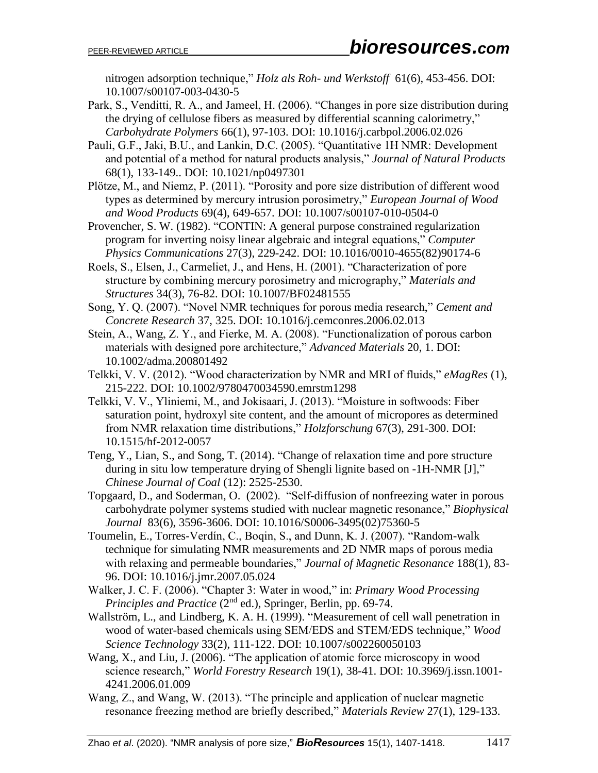[nitrogen adsorption technique,](http://kns.cnki.net/kcms/detail/detail.aspx?filename=SSJD00000275226&dbcode=SSJD)" *Holz als Roh- und Werkstoff* 61(6), 453-456. DOI: 10.1007/s00107-003-0430-5

- Park, S., Venditti, R. A., and Jameel, H. (2006). "Changes in pore size distribution during the drying of cellulose fibers as measured by differential scanning calorimetry," *Carbohydrate Polymers* 66(1), 97-103. DOI: [10.1016/j.carbpol.2006.02.026](https://doi.org/10.1016/j.carbpol.2006.02.026)
- Pauli, G.F., Jaki, B.U., and Lankin, D.C. (2005). "Quantitative 1H NMR: Development and potential of a method for natural products analysis," *Journal of Natural Products* 68(1), 133-149.. DOI: 10.1021/np0497301
- Plötze, M., and Niemz, P. (2011). "Porosity and pore size distribution of different wood types as determined by mercury intrusion porosimetry," *European Journal of Wood and Wood Products* 69(4), 649-657. DOI: [10.1007/s00107-010-0504-0](http://dx.doi.org/10.1007/s00107-010-0504-0)
- Provencher, S. W. (1982). "CONTIN: A general purpose constrained regularization program for inverting noisy linear algebraic and integral equations," *Computer Physics Communications* 27(3), 229-242. DOI: 10.1016/0010-4655(82)90174-6
- Roels, S., Elsen, J., Carmeliet, J., and Hens, H. (2001). "Characterization of pore structure by combining mercury porosimetry and micrography," *Materials and Structures* 34(3), 76-82. DOI: 10.1007/BF02481555
- Song, Y. Q. (2007). "Novel NMR techniques for porous media research," *Cement and Concrete Research* 37, 325. DOI: [10.1016/j.cemconres.2006.02.013](https://doi.org/10.1016/j.cemconres.2006.02.013)
- Stein, A., Wang, Z. Y., and Fierke, M. A. (2008). "Functionalization of porous carbon materials with designed pore architecture," *Advanced Materials* 20, 1. DOI: [10.1002/adma.200801492](https://doi.org/10.1002/adma.200801492)
- Telkki, V. V. (2012). "Wood characterization by NMR and MRI of fluids," *eMagRes* (1), 215-222. DOI: [10.1002/9780470034590.emrstm1298](https://doi.org/10.1002/9780470034590.emrstm1298)
- Telkki, V. V., Yliniemi, M., and Jokisaari, J. (2013). "Moisture in softwoods: Fiber saturation point, hydroxyl site content, and the amount of micropores as determined from NMR relaxation time distributions," *Holzforschung* 67(3), 291-300. DOI: 10.1515/hf-2012-0057
- Teng, Y., Lian, S., and Song, T. (2014). "Change of relaxation time and pore structure during in situ low temperature drying of Shengli lignite based on -1H-NMR [J]," *Chinese Journal of Coal* (12): 2525-2530.
- Topgaard, D., and Soderman, O. (2002). "Self-diffusion of nonfreezing water in porous carbohydrate polymer systems studied with nuclear magnetic resonance," *Biophysical Journal* 83(6), 3596-3606. DOI: [10.1016/S0006-3495\(02\)75360-5](https://doi.org/10.1016/S0006-3495(02)75360-5)
- Toumelin, E., Torres-Verdín, C., Boqin, S., and Dunn, K. J. (2007). "Random-walk technique for simulating NMR measurements and 2D NMR maps of porous media with relaxing and permeable boundaries," *Journal of Magnetic Resonance* 188(1), 83- 96. DOI: [10.1016/j.jmr.2007.05.024](https://doi.org/10.1016/j.jmr.2007.05.024)
- Walker, J. C. F. (2006). "Chapter 3: Water in wood," in: *Primary Wood Processing Principles and Practice* (2nd ed.), Springer, Berlin, pp. 69-74.
- Wallström, L., and Lindberg, K. A. H. (1999). "Measurement of cell wall penetration in wood of water-based chemicals using SEM/EDS and STEM/EDS technique," *Wood Science Technology* 33(2), 111-122. DOI: 10.1007/s002260050103
- Wang, X., and Liu, J. (2006). "The application of atomic force microscopy in wood science research," *World Forestry Research* 19(1), 38-41. DOI: 10.3969/j.issn.1001- 4241.2006.01.009
- Wang, Z., and Wang, W. (2013). "The principle and application of nuclear magnetic resonance freezing method are briefly described," *Materials Review* 27(1), 129-133.